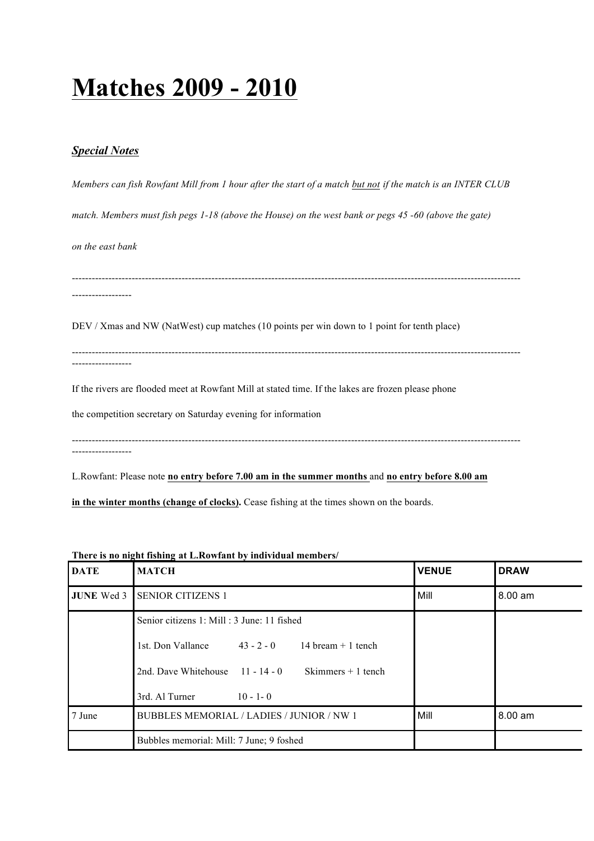## **Matches 2009 - 2010**

## *Special Notes*

*Members can fish Rowfant Mill from 1 hour after the start of a match but not if the match is an INTER CLUB match. Members must fish pegs 1-18 (above the House) on the west bank or pegs 45 -60 (above the gate) on the east bank* --------------------------------------------------------------------------------------------------------------------------------------- ------------------ DEV / Xmas and NW (NatWest) cup matches (10 points per win down to 1 point for tenth place) --------------------------------------------------------------------------------------------------------------------------------------- ------------------ If the rivers are flooded meet at Rowfant Mill at stated time. If the lakes are frozen please phone the competition secretary on Saturday evening for information --------------------------------------------------------------------------------------------------------------------------------------- ------------------ L.Rowfant: Please note **no entry before 7.00 am in the summer months** and **no entry before 8.00 am**

**in the winter months (change of clocks).** Cease fishing at the times shown on the boards.

## **There is no night fishing at L.Rowfant by individual members/**

| <b>DATE</b> | <b>MATCH</b>                                              | <b>VENUE</b> | <b>DRAW</b> |
|-------------|-----------------------------------------------------------|--------------|-------------|
|             | <b>JUNE Wed 3 SENIOR CITIZENS 1</b>                       | Mill         | 8.00 am     |
|             | Senior citizens 1: Mill : 3 June: 11 fished               |              |             |
|             | 1st. Don Vallance $43 - 2 - 0$<br>14 bream $+$ 1 tench    |              |             |
|             | 2nd. Dave Whitehouse $11 - 14 - 0$<br>Skimmers $+1$ tench |              |             |
|             | 3rd. Al Turner<br>$10 - 1 - 0$                            |              |             |
| 7 June      | BUBBLES MEMORIAL / LADIES / JUNIOR / NW 1                 | Mill         | 8.00 am     |
|             | Bubbles memorial: Mill: 7 June; 9 foshed                  |              |             |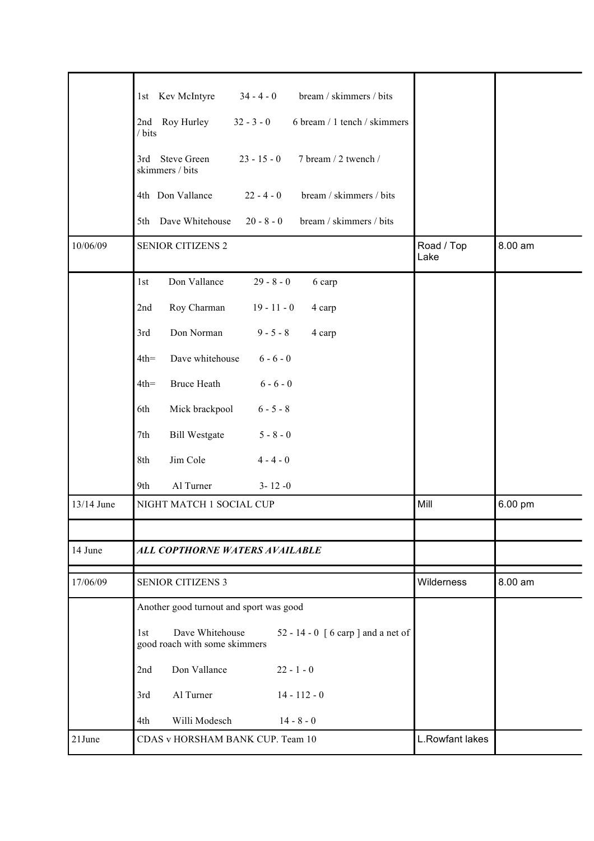|            | bream / skimmers / bits<br>1st Kev McIntyre<br>$34 - 4 - 0$                                                               |                    |         |
|------------|---------------------------------------------------------------------------------------------------------------------------|--------------------|---------|
|            | 2nd Roy Hurley<br>$32 - 3 - 0$<br>6 bream / 1 tench / skimmers                                                            |                    |         |
|            | / bits                                                                                                                    |                    |         |
|            | 3rd Steve Green<br>$23 - 15 - 0$<br>7 bream / 2 twench /<br>skimmers / bits                                               |                    |         |
|            | bream / skimmers / bits<br>4th Don Vallance<br>$22 - 4 - 0$                                                               |                    |         |
|            | 5th Dave Whitehouse<br>$20 - 8 - 0$<br>bream / skimmers / bits                                                            |                    |         |
| 10/06/09   | <b>SENIOR CITIZENS 2</b>                                                                                                  | Road / Top<br>Lake | 8.00 am |
|            | Don Vallance<br>$29 - 8 - 0$<br>1st<br>6 carp                                                                             |                    |         |
|            | Roy Charman<br>$19 - 11 - 0$<br>2nd<br>4 carp                                                                             |                    |         |
|            | Don Norman<br>$9 - 5 - 8$<br>3rd<br>4 carp                                                                                |                    |         |
|            | $6 - 6 - 0$<br>Dave whitehouse<br>$4th =$                                                                                 |                    |         |
|            | <b>Bruce Heath</b><br>$6 - 6 - 0$<br>$4th =$                                                                              |                    |         |
|            | Mick brackpool<br>$6 - 5 - 8$<br>6th                                                                                      |                    |         |
|            | <b>Bill Westgate</b><br>$5 - 8 - 0$<br>7th                                                                                |                    |         |
|            | Jim Cole<br>$4 - 4 - 0$<br>8th                                                                                            |                    |         |
|            | Al Turner<br>$3 - 12 - 0$<br>9th                                                                                          |                    |         |
| 13/14 June | NIGHT MATCH 1 SOCIAL CUP                                                                                                  | Mill               | 6.00 pm |
|            |                                                                                                                           |                    |         |
| 14 June    | ALL COPTHORNE WATERS AVAILABLE                                                                                            |                    |         |
| 17/06/09   | <b>SENIOR CITIZENS 3</b>                                                                                                  | Wilderness         | 8.00 am |
|            | Another good turnout and sport was good                                                                                   |                    |         |
|            | Dave Whitehouse<br>52 - 14 - 0 $\lceil 6 \operatorname{carp} \rceil$ and a net of<br>1st<br>good roach with some skimmers |                    |         |
|            | Don Vallance<br>$22 - 1 - 0$<br>2nd                                                                                       |                    |         |
|            | Al Turner<br>3rd<br>$14 - 112 - 0$                                                                                        |                    |         |
|            | Willi Modesch<br>$14 - 8 - 0$<br>4th                                                                                      |                    |         |
| 21June     | CDAS v HORSHAM BANK CUP. Team 10                                                                                          | L.Rowfant lakes    |         |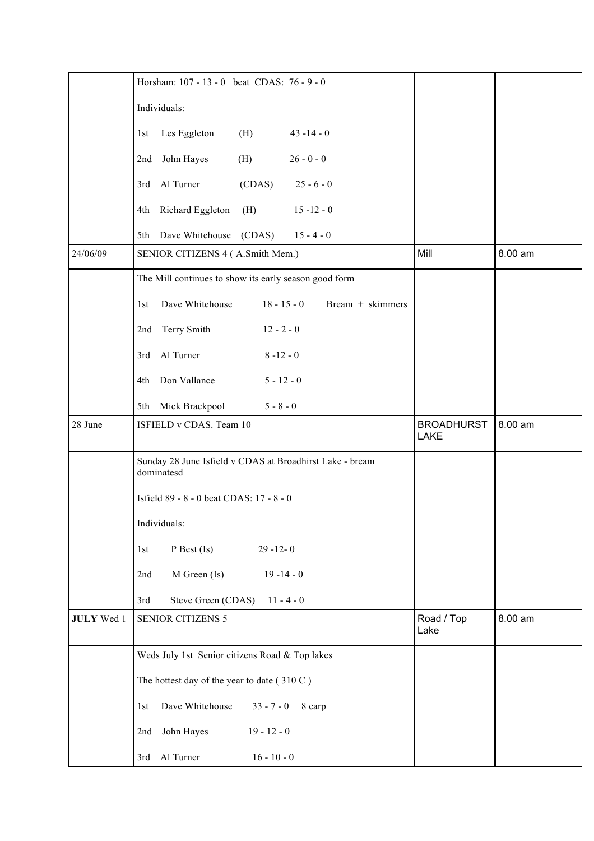|                   | Horsham: 107 - 13 - 0 beat CDAS: 76 - 9 - 0                            |                                  |         |
|-------------------|------------------------------------------------------------------------|----------------------------------|---------|
|                   | Individuals:                                                           |                                  |         |
|                   | Les Eggleton<br>(H)<br>$43 - 14 - 0$<br>1st                            |                                  |         |
|                   | John Hayes<br>$26 - 0 - 0$<br>(H)<br>2nd                               |                                  |         |
|                   | 3rd Al Turner<br>(CDAS)<br>$25 - 6 - 0$                                |                                  |         |
|                   | Richard Eggleton<br>(H)<br>$15 - 12 - 0$<br>4th                        |                                  |         |
|                   | Dave Whitehouse (CDAS)<br>$15 - 4 - 0$<br>5th                          |                                  |         |
| 24/06/09          | SENIOR CITIZENS 4 (A.Smith Mem.)                                       | Mill                             | 8.00 am |
|                   | The Mill continues to show its early season good form                  |                                  |         |
|                   | Bream + skimmers<br>Dave Whitehouse<br>$18 - 15 - 0$<br>1st            |                                  |         |
|                   | 2nd Terry Smith<br>$12 - 2 - 0$                                        |                                  |         |
|                   | 3rd Al Turner<br>$8 - 12 - 0$                                          |                                  |         |
|                   | Don Vallance<br>$5 - 12 - 0$<br>4th                                    |                                  |         |
|                   | 5th Mick Brackpool<br>$5 - 8 - 0$                                      |                                  |         |
| 28 June           | ISFIELD v CDAS. Team 10                                                | <b>BROADHURST</b><br><b>LAKE</b> | 8.00 am |
|                   | Sunday 28 June Isfield v CDAS at Broadhirst Lake - bream<br>dominatesd |                                  |         |
|                   | Isfield 89 - 8 - 0 beat CDAS: 17 - 8 - 0                               |                                  |         |
|                   | Individuals:                                                           |                                  |         |
|                   | $P$ Best (Is)<br>$29 - 12 - 0$<br>1st                                  |                                  |         |
|                   | M Green (Is)<br>$19 - 14 - 0$<br>2nd                                   |                                  |         |
|                   | Steve Green (CDAS) 11 - 4 - 0<br>3rd                                   |                                  |         |
| <b>JULY</b> Wed 1 | <b>SENIOR CITIZENS 5</b>                                               | Road / Top<br>Lake               | 8.00 am |
|                   | Weds July 1st Senior citizens Road & Top lakes                         |                                  |         |
|                   | The hottest day of the year to date (310 C)                            |                                  |         |
|                   | Dave Whitehouse<br>$33 - 7 - 0$<br>8 carp<br>1st                       |                                  |         |
|                   | John Hayes<br>$19 - 12 - 0$<br>2nd                                     |                                  |         |
|                   | 3rd Al Turner<br>$16 - 10 - 0$                                         |                                  |         |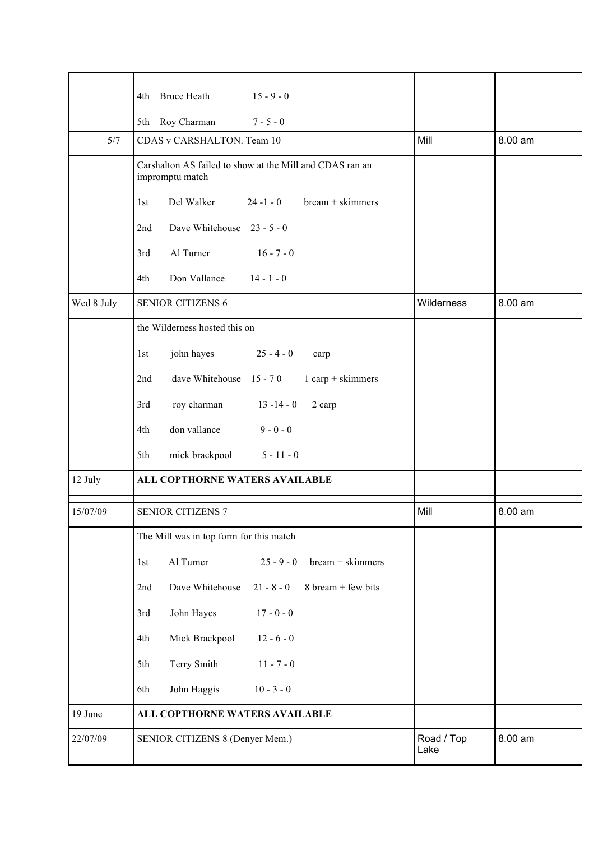|            | 4th Bruce Heath<br>$15 - 9 - 0$                                             |                    |         |
|------------|-----------------------------------------------------------------------------|--------------------|---------|
|            | 5th Roy Charman<br>$7 - 5 - 0$                                              |                    |         |
| 5/7        | CDAS v CARSHALTON. Team 10                                                  | Mill               | 8.00 am |
|            | Carshalton AS failed to show at the Mill and CDAS ran an<br>impromptu match |                    |         |
|            | Del Walker<br>$24 - 1 - 0$<br>$bream +$ skimmers<br>1st                     |                    |         |
|            | Dave Whitehouse 23 - 5 - 0<br>2nd                                           |                    |         |
|            | Al Turner<br>$16 - 7 - 0$<br>3rd                                            |                    |         |
|            | Don Vallance<br>$14 - 1 - 0$<br>4th                                         |                    |         |
| Wed 8 July | <b>SENIOR CITIZENS 6</b>                                                    | Wilderness         | 8.00 am |
|            | the Wilderness hosted this on                                               |                    |         |
|            | john hayes<br>$25 - 4 - 0$<br>1st<br>carp                                   |                    |         |
|            | dave Whitehouse 15 - 70<br>$1$ carp + skimmers<br>2nd                       |                    |         |
|            | roy charman<br>$13 - 14 - 0$<br>3rd<br>2 carp                               |                    |         |
|            | don vallance<br>$9 - 0 - 0$<br>4th                                          |                    |         |
|            | mick brackpool<br>$5 - 11 - 0$<br>5th                                       |                    |         |
| 12 July    | ALL COPTHORNE WATERS AVAILABLE                                              |                    |         |
| 15/07/09   | <b>SENIOR CITIZENS 7</b>                                                    | Mill               | 8.00 am |
|            | The Mill was in top form for this match                                     |                    |         |
|            | Al Turner<br>$25 - 9 - 0$<br>bream + skimmers<br>1st                        |                    |         |
|            | Dave Whitehouse<br>$21 - 8 - 0$<br>8 bream + few bits<br>2nd                |                    |         |
|            | $17 - 0 - 0$<br>John Hayes<br>3rd                                           |                    |         |
|            | $12 - 6 - 0$<br>Mick Brackpool<br>4th                                       |                    |         |
|            | Terry Smith<br>$11 - 7 - 0$<br>5th                                          |                    |         |
|            | John Haggis<br>$10 - 3 - 0$<br>6th                                          |                    |         |
| 19 June    | ALL COPTHORNE WATERS AVAILABLE                                              |                    |         |
| 22/07/09   | SENIOR CITIZENS 8 (Denyer Mem.)                                             | Road / Top<br>Lake | 8.00 am |
|            |                                                                             |                    |         |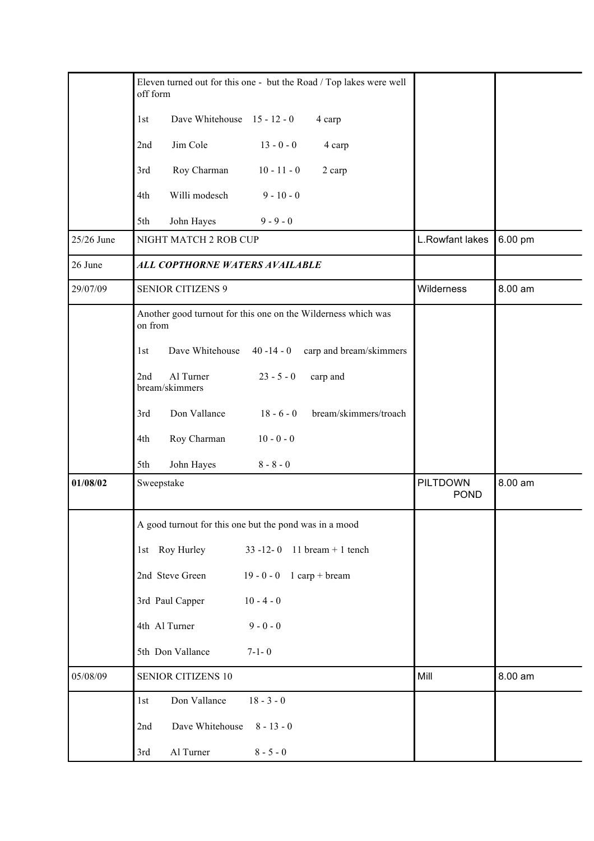|            | Eleven turned out for this one - but the Road / Top lakes were well<br>off form |                                |         |
|------------|---------------------------------------------------------------------------------|--------------------------------|---------|
|            | Dave Whitehouse 15 - 12 - 0<br>1st<br>4 carp                                    |                                |         |
|            | Jim Cole<br>$13 - 0 - 0$<br>2nd<br>4 carp                                       |                                |         |
|            | Roy Charman<br>$10 - 11 - 0$<br>3rd<br>2 carp                                   |                                |         |
|            | Willi modesch<br>$9 - 10 - 0$<br>4th                                            |                                |         |
|            | $9 - 9 - 0$<br>5th<br>John Hayes                                                |                                |         |
| 25/26 June | NIGHT MATCH 2 ROB CUP                                                           | L.Rowfant lakes                | 6.00 pm |
| 26 June    | ALL COPTHORNE WATERS AVAILABLE                                                  |                                |         |
| 29/07/09   | <b>SENIOR CITIZENS 9</b>                                                        | Wilderness                     | 8.00 am |
|            | Another good turnout for this one on the Wilderness which was<br>on from        |                                |         |
|            | carp and bream/skimmers<br>Dave Whitehouse<br>$40 - 14 - 0$<br>1st              |                                |         |
|            | Al Turner<br>$23 - 5 - 0$<br>2nd<br>carp and<br>bream/skimmers                  |                                |         |
|            | Don Vallance<br>$18 - 6 - 0$<br>bream/skimmers/troach<br>3rd                    |                                |         |
|            | Roy Charman<br>$10 - 0 - 0$<br>4th                                              |                                |         |
|            | John Hayes<br>$8 - 8 - 0$<br>5th                                                |                                |         |
| 01/08/02   | Sweepstake                                                                      | <b>PILTDOWN</b><br><b>POND</b> | 8.00 am |
|            | A good turnout for this one but the pond was in a mood                          |                                |         |
|            | 1st Roy Hurley<br>$33 - 12 - 0$ 11 bream + 1 tench                              |                                |         |
|            | 2nd Steve Green<br>19 - 0 - 0 $1$ carp + bream                                  |                                |         |
|            | $10 - 4 - 0$<br>3rd Paul Capper                                                 |                                |         |
|            | 4th Al Turner<br>$9 - 0 - 0$                                                    |                                |         |
|            | 5th Don Vallance<br>$7 - 1 - 0$                                                 |                                |         |
| 05/08/09   | <b>SENIOR CITIZENS 10</b>                                                       | Mill                           | 8.00 am |
|            | 1st<br>Don Vallance<br>$18 - 3 - 0$                                             |                                |         |
|            | Dave Whitehouse<br>$8 - 13 - 0$<br>2nd                                          |                                |         |
|            | Al Turner<br>$8 - 5 - 0$<br>3rd                                                 |                                |         |
|            |                                                                                 |                                |         |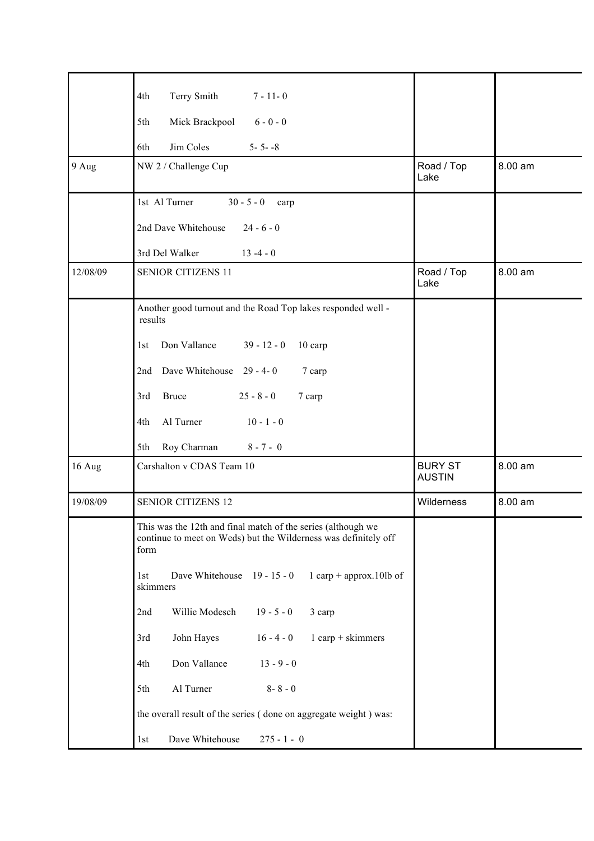|          | Terry Smith<br>$7 - 11 - 0$<br>4th                                                                                                      |                                 |         |
|----------|-----------------------------------------------------------------------------------------------------------------------------------------|---------------------------------|---------|
|          | Mick Brackpool<br>$6 - 0 - 0$<br>5th                                                                                                    |                                 |         |
|          | Jim Coles<br>$5 - 5 - 8$<br>6th                                                                                                         |                                 |         |
| 9 Aug    | NW 2 / Challenge Cup                                                                                                                    | Road / Top<br>Lake              | 8.00 am |
|          | 1st Al Turner<br>$30 - 5 - 0$<br>carp                                                                                                   |                                 |         |
|          | 2nd Dave Whitehouse<br>$24 - 6 - 0$                                                                                                     |                                 |         |
|          | 3rd Del Walker<br>$13 - 4 - 0$                                                                                                          |                                 |         |
| 12/08/09 | <b>SENIOR CITIZENS 11</b>                                                                                                               | Road / Top<br>Lake              | 8.00 am |
|          | Another good turnout and the Road Top lakes responded well -<br>results                                                                 |                                 |         |
|          | Don Vallance<br>$39 - 12 - 0$<br>10 carp<br>1st                                                                                         |                                 |         |
|          | Dave Whitehouse 29 - 4-0<br>2nd<br>7 carp                                                                                               |                                 |         |
|          | <b>Bruce</b><br>$25 - 8 - 0$<br>3rd<br>7 carp                                                                                           |                                 |         |
|          | Al Turner<br>$10 - 1 - 0$<br>4th                                                                                                        |                                 |         |
|          | Roy Charman<br>$8 - 7 - 0$<br>5th                                                                                                       |                                 |         |
| 16 Aug   | Carshalton v CDAS Team 10                                                                                                               | <b>BURY ST</b><br><b>AUSTIN</b> | 8.00 am |
| 19/08/09 | <b>SENIOR CITIZENS 12</b>                                                                                                               | Wilderness                      | 8.00 am |
|          | This was the 12th and final match of the series (although we<br>continue to meet on Weds) but the Wilderness was definitely off<br>form |                                 |         |
|          | Dave Whitehouse 19 - 15 - 0<br>1 carp + approx.10lb of<br>1st<br>skimmers                                                               |                                 |         |
|          | Willie Modesch<br>$19 - 5 - 0$<br>3 carp<br>2nd                                                                                         |                                 |         |
|          | John Hayes<br>$16 - 4 - 0$<br>$1$ carp + skimmers<br>3rd                                                                                |                                 |         |
|          | Don Vallance<br>$13 - 9 - 0$<br>4th                                                                                                     |                                 |         |
|          | Al Turner<br>$8 - 8 - 0$<br>5th                                                                                                         |                                 |         |
|          | the overall result of the series (done on aggregate weight) was:                                                                        |                                 |         |
|          | Dave Whitehouse<br>$275 - 1 - 0$<br>1st                                                                                                 |                                 |         |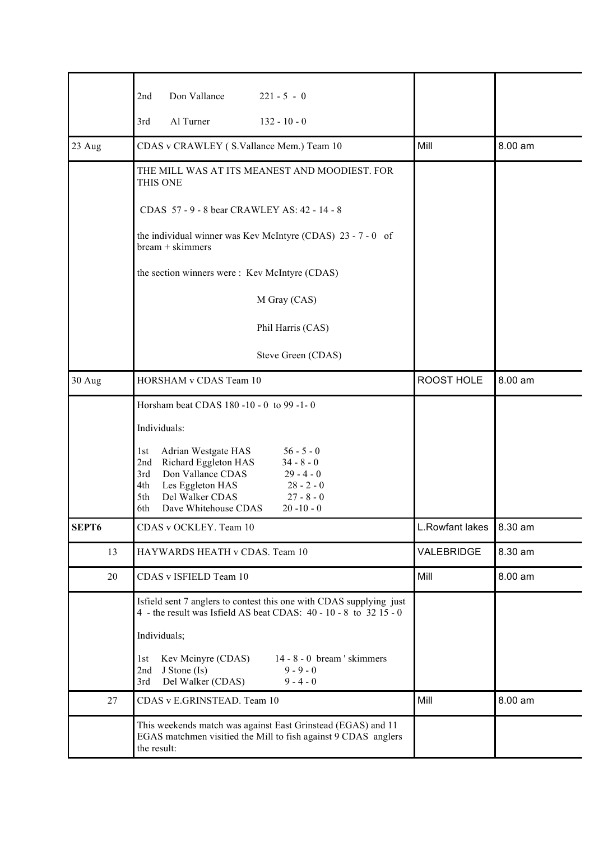|        | Don Vallance<br>$221 - 5 - 0$<br>2nd                                                                                                                                                                                                                                       |                 |         |
|--------|----------------------------------------------------------------------------------------------------------------------------------------------------------------------------------------------------------------------------------------------------------------------------|-----------------|---------|
|        | Al Turner<br>$132 - 10 - 0$<br>3rd                                                                                                                                                                                                                                         |                 |         |
| 23 Aug | CDAS v CRAWLEY (S.Vallance Mem.) Team 10                                                                                                                                                                                                                                   | Mill            | 8.00 am |
|        | THE MILL WAS AT ITS MEANEST AND MOODIEST. FOR<br>THIS ONE                                                                                                                                                                                                                  |                 |         |
|        | CDAS 57 - 9 - 8 bear CRAWLEY AS: 42 - 14 - 8                                                                                                                                                                                                                               |                 |         |
|        | the individual winner was Kev McIntyre (CDAS) 23 - 7 - 0 of<br>bream + skimmers                                                                                                                                                                                            |                 |         |
|        | the section winners were: Kev McIntyre (CDAS)                                                                                                                                                                                                                              |                 |         |
|        | M Gray (CAS)                                                                                                                                                                                                                                                               |                 |         |
|        | Phil Harris (CAS)                                                                                                                                                                                                                                                          |                 |         |
|        | Steve Green (CDAS)                                                                                                                                                                                                                                                         |                 |         |
| 30 Aug | HORSHAM v CDAS Team 10                                                                                                                                                                                                                                                     | ROOST HOLE      | 8.00 am |
|        | Horsham beat CDAS 180 -10 - 0 to 99 -1-0                                                                                                                                                                                                                                   |                 |         |
|        | Individuals:                                                                                                                                                                                                                                                               |                 |         |
|        | Adrian Westgate HAS<br>$56 - 5 - 0$<br>1st<br>Richard Eggleton HAS<br>$34 - 8 - 0$<br>2nd<br>$29 - 4 - 0$<br>Don Vallance CDAS<br>3rd<br>Les Eggleton HAS<br>$28 - 2 - 0$<br>4th<br>$27 - 8 - 0$<br>5th<br>Del Walker CDAS<br>Dave Whitehouse CDAS<br>$20 - 10 - 0$<br>6th |                 |         |
| SEPT6  | CDAS v OCKLEY. Team 10                                                                                                                                                                                                                                                     | L.Rowfant lakes | 8.30 am |
| 13     | HAYWARDS HEATH v CDAS. Team 10                                                                                                                                                                                                                                             | VALEBRIDGE      | 8.30 am |
| 20     | CDAS v ISFIELD Team 10                                                                                                                                                                                                                                                     | Mill            | 8.00 am |
|        | Isfield sent 7 anglers to contest this one with CDAS supplying just<br>4 - the result was Isfield AS beat CDAS: 40 - 10 - 8 to 32 15 - 0                                                                                                                                   |                 |         |
|        | Individuals;                                                                                                                                                                                                                                                               |                 |         |
|        | $14 - 8 - 0$ bream 'skimmers<br>Kev Mcinyre (CDAS)<br>1st<br>$9 - 9 - 0$<br>2nd<br>J Stone (Is)<br>Del Walker (CDAS)<br>$9 - 4 - 0$<br>3rd                                                                                                                                 |                 |         |
| 27     | CDAS v E.GRINSTEAD. Team 10                                                                                                                                                                                                                                                | Mill            | 8.00 am |
|        | This weekends match was against East Grinstead (EGAS) and 11<br>EGAS matchmen visitied the Mill to fish against 9 CDAS anglers<br>the result:                                                                                                                              |                 |         |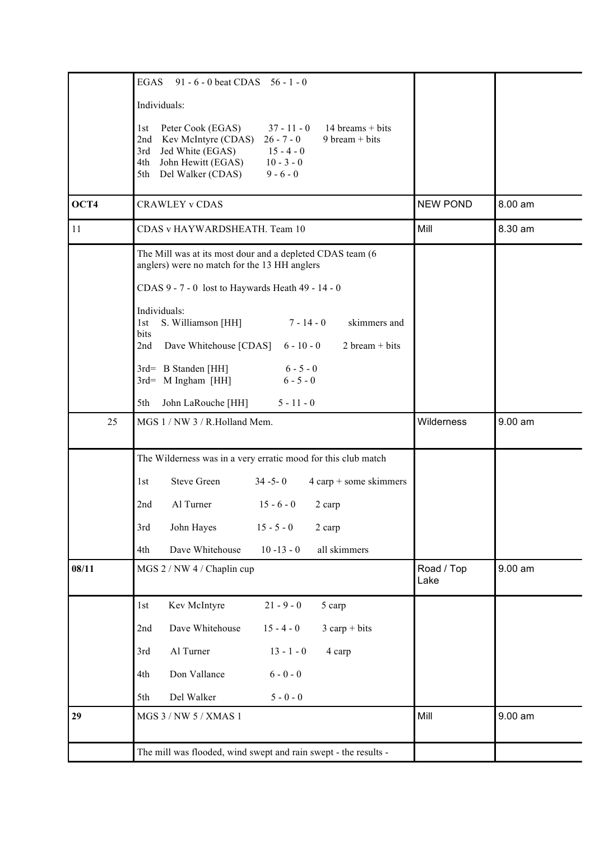|       | EGAS<br>91 - 6 - 0 beat CDAS $56 - 1 - 0$                                                                                                                                                                                                                                   |                    |           |
|-------|-----------------------------------------------------------------------------------------------------------------------------------------------------------------------------------------------------------------------------------------------------------------------------|--------------------|-----------|
|       | Individuals:                                                                                                                                                                                                                                                                |                    |           |
|       | $37 - 11 - 0$<br>$14 \text{ breams} + \text{bits}$<br>Peter Cook (EGAS)<br>1st<br>2nd Kev McIntyre (CDAS)<br>9 bream + bits<br>$26 - 7 - 0$<br>3rd<br>Jed White (EGAS)<br>$15 - 4 - 0$<br>John Hewitt (EGAS)<br>$10 - 3 - 0$<br>4th<br>5th Del Walker (CDAS)<br>$9 - 6 - 0$ |                    |           |
| OCT4  | <b>CRAWLEY v CDAS</b>                                                                                                                                                                                                                                                       | <b>NEW POND</b>    | 8.00 am   |
| 11    | CDAS v HAYWARDSHEATH. Team 10                                                                                                                                                                                                                                               | Mill               | 8.30 am   |
|       | The Mill was at its most dour and a depleted CDAS team (6<br>anglers) were no match for the 13 HH anglers                                                                                                                                                                   |                    |           |
|       | CDAS 9 - 7 - 0 lost to Haywards Heath 49 - 14 - 0                                                                                                                                                                                                                           |                    |           |
|       | Individuals:<br>$7 - 14 - 0$<br>skimmers and<br>S. Williamson [HH]<br>1st<br>bits<br>$2 \text{ bream} + \text{bits}$<br>Dave Whitehouse [CDAS]<br>$6 - 10 - 0$<br>2nd                                                                                                       |                    |           |
|       | 3rd= B Standen [HH]<br>$6 - 5 - 0$<br>3rd= M Ingham [HH]<br>$6 - 5 - 0$                                                                                                                                                                                                     |                    |           |
|       | John LaRouche [HH]<br>$5 - 11 - 0$<br>5th                                                                                                                                                                                                                                   |                    |           |
| 25    | MGS 1 / NW 3 / R.Holland Mem.                                                                                                                                                                                                                                               | Wilderness         | $9.00$ am |
|       | The Wilderness was in a very erratic mood for this club match                                                                                                                                                                                                               |                    |           |
|       | <b>Steve Green</b><br>$34 - 5 - 0$<br>$4$ carp + some skimmers<br>1st                                                                                                                                                                                                       |                    |           |
|       | Al Turner<br>$15 - 6 - 0$<br>2nd<br>2 carp                                                                                                                                                                                                                                  |                    |           |
|       | John Hayes<br>3rd<br>$15 - 5 - 0$<br>2 carp                                                                                                                                                                                                                                 |                    |           |
|       | Dave Whitehouse<br>$10 - 13 - 0$<br>all skimmers<br>4th                                                                                                                                                                                                                     |                    |           |
| 08/11 | MGS 2 / NW 4 / Chaplin cup                                                                                                                                                                                                                                                  | Road / Top<br>Lake | 9.00 am   |
|       | Kev McIntyre<br>$21 - 9 - 0$<br>5 carp<br>1st                                                                                                                                                                                                                               |                    |           |
|       | Dave Whitehouse<br>$3 \text{ carp} + \text{bits}$<br>$15 - 4 - 0$<br>2nd                                                                                                                                                                                                    |                    |           |
|       | Al Turner<br>$13 - 1 - 0$<br>4 carp<br>3rd                                                                                                                                                                                                                                  |                    |           |
|       | Don Vallance<br>$6 - 0 - 0$<br>4th                                                                                                                                                                                                                                          |                    |           |
|       | Del Walker<br>$5 - 0 - 0$<br>5th                                                                                                                                                                                                                                            |                    |           |
| 29    | MGS 3 / NW 5 / XMAS 1                                                                                                                                                                                                                                                       | Mill               | 9.00 am   |
|       | The mill was flooded, wind swept and rain swept - the results -                                                                                                                                                                                                             |                    |           |
|       |                                                                                                                                                                                                                                                                             |                    |           |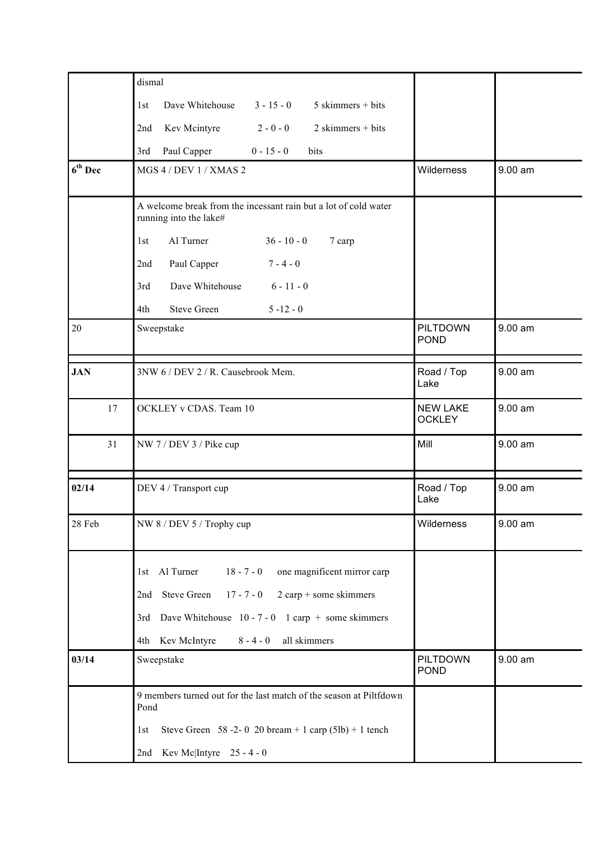|            | dismal                                                                                                                                                                                                                                              |                                  |           |
|------------|-----------------------------------------------------------------------------------------------------------------------------------------------------------------------------------------------------------------------------------------------------|----------------------------------|-----------|
|            | Dave Whitehouse<br>$3 - 15 - 0$<br>$5$ skimmers + bits<br>1st                                                                                                                                                                                       |                                  |           |
|            | $2 - 0 - 0$<br>$2$ skimmers + bits<br>Kev Mcintyre<br>2nd                                                                                                                                                                                           |                                  |           |
|            | Paul Capper<br>$0 - 15 - 0$<br>bits<br>3rd                                                                                                                                                                                                          |                                  |           |
| $6th$ Dec  | MGS 4 / DEV 1 / XMAS 2                                                                                                                                                                                                                              | Wilderness                       | 9.00 am   |
|            | A welcome break from the incessant rain but a lot of cold water<br>running into the lake#                                                                                                                                                           |                                  |           |
|            | Al Turner<br>$36 - 10 - 0$<br>7 carp<br>1st                                                                                                                                                                                                         |                                  |           |
|            | Paul Capper<br>$7 - 4 - 0$<br>2nd                                                                                                                                                                                                                   |                                  |           |
|            | Dave Whitehouse<br>$6 - 11 - 0$<br>3rd                                                                                                                                                                                                              |                                  |           |
|            | <b>Steve Green</b><br>$5 - 12 - 0$<br>4th                                                                                                                                                                                                           |                                  |           |
| $20\,$     | Sweepstake                                                                                                                                                                                                                                          | <b>PILTDOWN</b><br><b>POND</b>   | $9.00$ am |
| <b>JAN</b> | 3NW 6 / DEV 2 / R. Causebrook Mem.                                                                                                                                                                                                                  | Road / Top<br>Lake               | $9.00$ am |
| 17         | OCKLEY v CDAS. Team 10                                                                                                                                                                                                                              | <b>NEW LAKE</b><br><b>OCKLEY</b> | $9.00$ am |
| 31         | NW 7 / DEV 3 / Pike cup                                                                                                                                                                                                                             | Mill                             | $9.00$ am |
| 02/14      | DEV 4 / Transport cup                                                                                                                                                                                                                               | Road / Top<br>Lake               | 9.00 am   |
| 28 Feb     | NW 8 / DEV 5 / Trophy cup                                                                                                                                                                                                                           | Wilderness                       | 9.00 am   |
|            | 1st Al Turner<br>$18 - 7 - 0$<br>one magnificent mirror carp<br><b>Steve Green</b><br>$2$ carp + some skimmers<br>$17 - 7 - 0$<br>2nd<br>3rd Dave Whitehouse $10 - 7 - 0$ 1 carp + some skimmers<br>4th Kev McIntyre<br>$8 - 4 - 0$<br>all skimmers |                                  |           |
| 03/14      | Sweepstake                                                                                                                                                                                                                                          | <b>PILTDOWN</b><br><b>POND</b>   | 9.00 am   |
|            | 9 members turned out for the last match of the season at Piltfdown<br>Pond                                                                                                                                                                          |                                  |           |
|            | Steve Green 58 -2- 0 20 bream + 1 carp $(51b)$ + 1 tench<br>1st                                                                                                                                                                                     |                                  |           |
|            | 2nd Kev Mc Intyre $25 - 4 - 0$                                                                                                                                                                                                                      |                                  |           |
|            |                                                                                                                                                                                                                                                     |                                  |           |